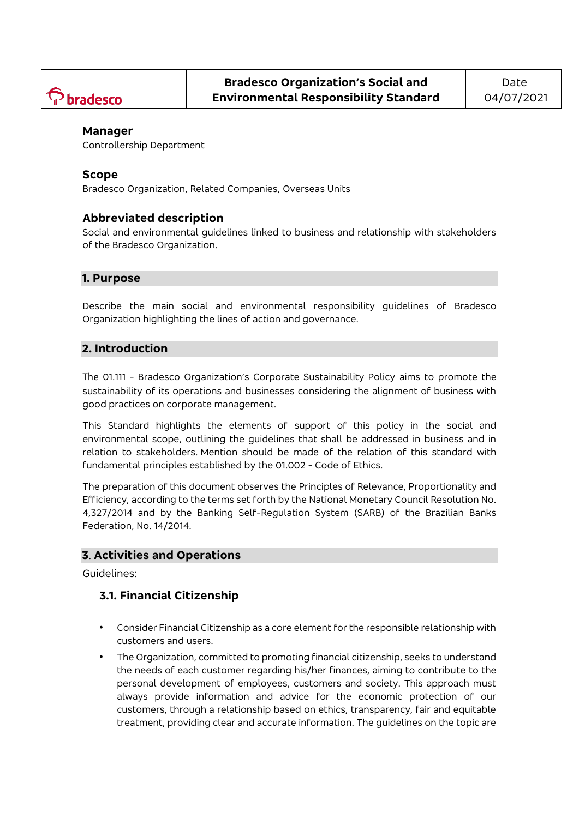

#### **Manager**

Controllership Department

#### **Scope**

Bradesco Organization, Related Companies, Overseas Units

### **Abbreviated description**

Social and environmental guidelines linked to business and relationship with stakeholders of the Bradesco Organization.

### **1. Purpose**

Describe the main social and environmental responsibility guidelines of Bradesco Organization highlighting the lines of action and governance.

### **2. Introduction**

The 01.111 - [Bradesco Organization's Corporate Sustainability Policy](http://portalnormaslive.net.bradesco.com.br/portal/site/Normativo/menuitem.c93098df5f02e2531444144483208a0c/?vgnextoid=d1639dae0ee67410VgnVCM1000002516de0aRCRD&vgnextchannel=b1874d04de041310VgnVCM1000003c0ac10aRCRD&vgnextfmt=default) aims to promote the sustainability of its operations and businesses considering the alignment of business with good practices on corporate management.

This Standard highlights the elements of support of this policy in the social and environmental scope, outlining the guidelines that shall be addressed in business and in relation to stakeholders. Mention should be made of the relation of this standard with fundamental principles established by the 01.002 - [Code of Ethics.](http://portalnormaslive.net.bradesco.com.br/portal/site/Normativo/menuitem.c93098df5f02e2531444144483208a0c/?vgnextoid=0445d7a93cf72310VgnVCM1000002516de0aRCRD&vgnextchannel=fc2bdf1734806310VgnVCM1000002516de0aRCRD&vgnextfmt=default)

The preparation of this document observes the Principles of Relevance, Proportionality and Efficiency, according to the terms set forth by the National Monetary Council Resolution No. 4,327/2014 and by the Banking Self-Regulation System (SARB) of the Brazilian Banks Federation, No. 14/2014.

#### **3**. **Activities and Operations**

Guidelines:

## **3.1. Financial Citizenship**

- Consider Financial Citizenship as a core element for the responsible relationship with customers and users.
- The Organization, committed to promoting financial citizenship, seeks to understand the needs of each customer regarding his/her finances, aiming to contribute to the personal development of employees, customers and society. This approach must always provide information and advice for the economic protection of our customers, through a relationship based on ethics, transparency, fair and equitable treatment, providing clear and accurate information. The guidelines on the topic are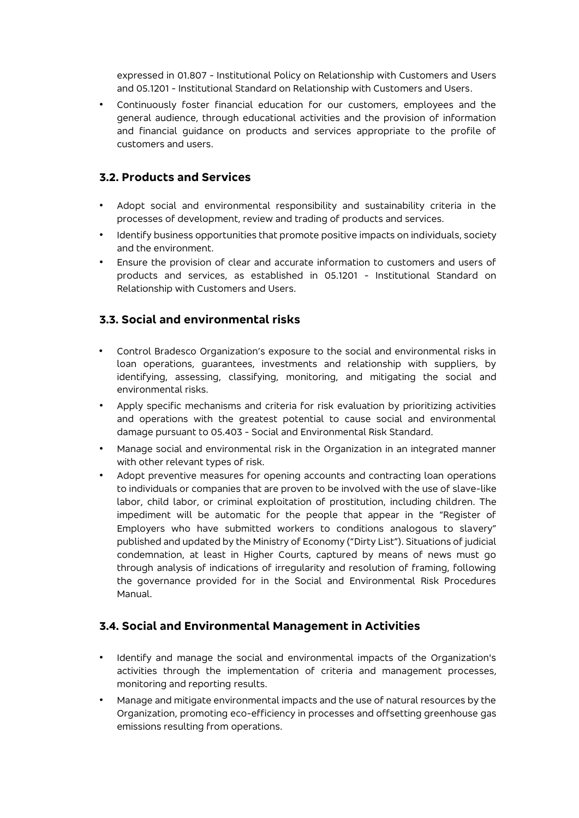expressed in 01.807 - [Institutional Policy on Relationship with Customers and Users](http://portalnormaslive.net.bradesco.com.br/portal/site/Normativo/menuitem.c93098df5f02e2531444144483208a0c/?vgnextoid=cb992359ed0af510VgnVCM1000000316de0aRCRD&vgnextchannel=b1874d04de041310VgnVCM1000003c0ac10aRCRD&vgnextfmt=default) and 05.1201 - [Institutional Standard on Relationship with Customers and Users.](http://portalnormaslive.net.bradesco.com.br/portal/site/Normativo/menuitem.812b0d7f582641110563056383208a0c/?vgnextoid=10ba2359ed0af510VgnVCM1000000316de0aRCRD&vgnextchannel=e7b9bd7d2034b510VgnVCM1000000316de0aRCRD&vgnextfmt=default)

• Continuously foster financial education for our customers, employees and the general audience, through educational activities and the provision of information and financial guidance on products and services appropriate to the profile of customers and users.

# **3.2. Products and Services**

- Adopt social and environmental responsibility and sustainability criteria in the processes of development, review and trading of products and services.
- Identify business opportunities that promote positive impacts on individuals, society and the environment.
- Ensure the provision of clear and accurate information to customers and users of products and services, as established in 05.1201 - Institutional Standard on Relationship with Customers and Users.

# **3.3. Social and environmental risks**

- Control Bradesco Organization's exposure to the social and environmental risks in loan operations, guarantees, investments and relationship with suppliers, by identifying, assessing, classifying, monitoring, and mitigating the social and environmental risks.
- Apply specific mechanisms and criteria for risk evaluation by prioritizing activities and operations with the greatest potential to cause social and environmental damage pursuant to 05.403 - Social and Environmental Risk Standard.
- Manage social and environmental risk in the Organization in an integrated manner with other relevant types of risk.
- Adopt preventive measures for opening accounts and contracting loan operations to individuals or companies that are proven to be involved with the use of slave-like labor, child labor, or criminal exploitation of prostitution, including children. The impediment will be automatic for the people that appear in the "Register of Employers who have submitted workers to conditions analogous to slavery" published and updated by the Ministry of Economy ("Dirty List"). Situations of judicial condemnation, at least in Higher Courts, captured by means of news must go through analysis of indications of irregularity and resolution of framing, following the governance provided for in the Social and Environmental Risk Procedures Manual.

## **3.4. Social and Environmental Management in Activities**

- Identify and manage the social and environmental impacts of the Organization's activities through the implementation of criteria and management processes, monitoring and reporting results.
- Manage and mitigate environmental impacts and the use of natural resources by the Organization, promoting eco-efficiency in processes and offsetting greenhouse gas emissions resulting from operations.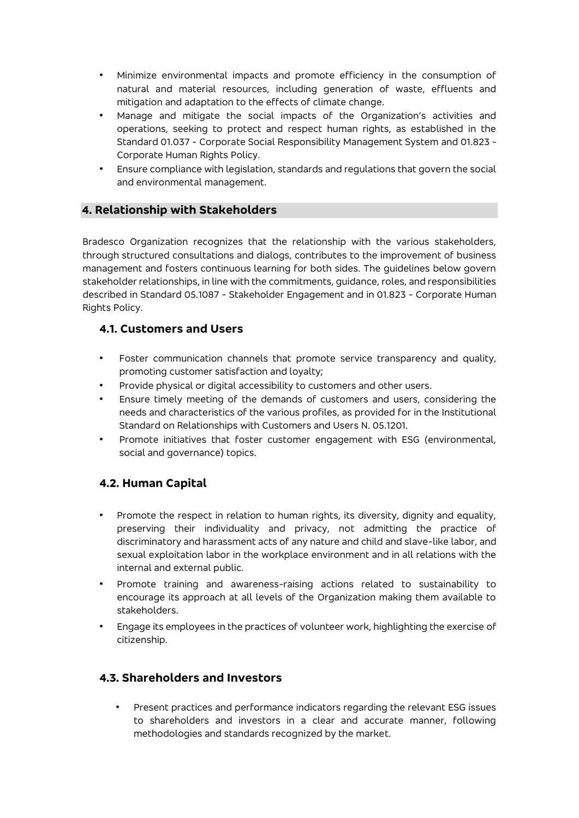- Minimize environmental impacts and promote efficiency in the consumption of natural and material resources, including generation of waste, effluents and mitigation and adaptation to the effects of climate change.
- Manage and mitigate the social impacts of the Organization's activities and operations, seeking to protect and respect human rights, as established in the Standard 01.037 - [Corporate Social Responsibility Management System](https://portalnormaslive.net.bradesco.com.br/portal/site/Normativo/menuitem.c93098df5f02e2531444144483208a0c/?vgnextoid=25f657c35bf82310VgnVCM1000002516de0aRCRD&vgnextchannel=89aaa86b1abe4310VgnVCM1000002516de0aRCRD&vgnextfmt=default) and 01.823 - Corporate Human Rights Policy.
- Ensure compliance with legislation, standards and regulations that govern the social and environmental management.

## **4. Relationship with Stakeholders**

Bradesco Organization recognizes that the relationship with the various stakeholders, through structured consultations and dialogs, contributes to the improvement of business management and fosters continuous learning for both sides. The guidelines below govern stakeholder relationships, in line with the commitments, guidance, roles, and responsibilities described in Standard 05.1087 - Stakeholder Engagement and in 01.823 - Corporate Human Rights Policy.

## **4.1. Customers and Users**

- Foster communication channels that promote service transparency and quality, promoting customer satisfaction and loyalty;
- Provide physical or digital accessibility to customers and other users.
- Ensure timely meeting of the demands of customers and users, considering the needs and characteristics of the various profiles, as provided for in the Institutional Standard on Relationships with Customers and Users N. 05.1201.
- Promote initiatives that foster customer engagement with ESG (environmental, social and governance) topics.

# **4.2. Human Capital**

- Promote the respect in relation to human rights, its diversity, dignity and equality, preserving their individuality and privacy, not admitting the practice of discriminatory and harassment acts of any nature and child and slave-like labor, and sexual exploitation labor in the workplace environment and in all relations with the internal and external public.
- Promote training and awareness-raising actions related to sustainability to encourage its approach at all levels of the Organization making them available to stakeholders.
- Engage its employees in the practices of volunteer work, highlighting the exercise of citizenship.

# **4.3. Shareholders and Investors**

• Present practices and performance indicators regarding the relevant ESG issues to shareholders and investors in a clear and accurate manner, following methodologies and standards recognized by the market.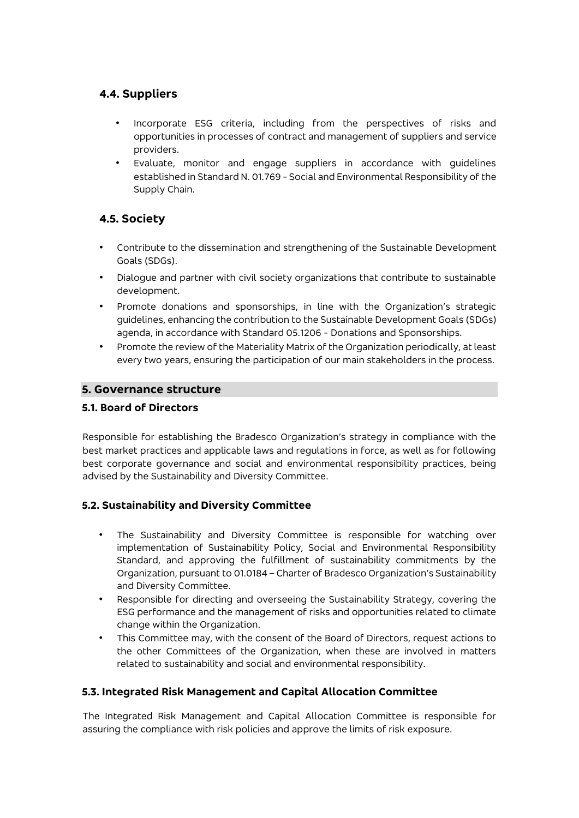# **4.4. Suppliers**

- Incorporate ESG criteria, including from the perspectives of risks and opportunities in processes of contract and management of suppliers and service providers.
- Evaluate, monitor and engage suppliers in accordance with guidelines established in Standard N. 01.769 - Social and Environmental Responsibility of the Supply Chain.

# **4.5. Society**

- Contribute to the dissemination and strengthening of the Sustainable Development Goals (SDGs).
- Dialogue and partner with civil society organizations that contribute to sustainable development.
- Promote donations and sponsorships, in line with the Organization's strategic guidelines, enhancing the contribution to the Sustainable Development Goals (SDGs) agenda, in accordance with Standard 05.1206 - Donations and Sponsorships.
- Promote the review of the Materiality Matrix of the Organization periodically, at least every two years, ensuring the participation of our main stakeholders in the process.

### **5. Governance structure**

#### **5.1. Board of Directors**

Responsible for establishing the Bradesco Organization's strategy in compliance with the best market practices and applicable laws and regulations in force, as well as for following best corporate governance and social and environmental responsibility practices, being advised by the Sustainability and Diversity Committee.

## **5.2. Sustainability and Diversity Committee**

- The Sustainability and Diversity Committee is responsible for watching over implementation of Sustainability Policy, Social and Environmental Responsibility Standard, and approving the fulfillment of sustainability commitments by the Organization, pursuant to 01.0184 – Charter of Bradesco Organization's Sustainability and Diversity Committee.
- Responsible for directing and overseeing the Sustainability Strategy, covering the ESG performance and the management of risks and opportunities related to climate change within the Organization.
- This Committee may, with the consent of the Board of Directors, request actions to the other Committees of the Organization, when these are involved in matters related to sustainability and social and environmental responsibility.

#### **5.3. Integrated Risk Management and Capital Allocation Committee**

The Integrated Risk Management and Capital Allocation Committee is responsible for assuring the compliance with risk policies and approve the limits of risk exposure.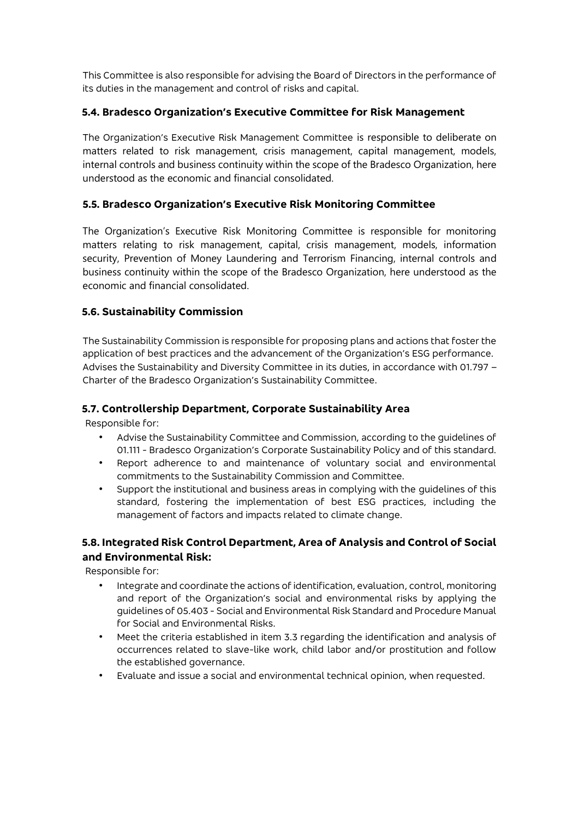This Committee is also responsible for advising the Board of Directors in the performance of its duties in the management and control of risks and capital.

### **5.4. Bradesco Organization's Executive Committee for Risk Management**

The Organization's Executive Risk Management Committee is responsible to deliberate on matters related to risk management, crisis management, capital management, models, internal controls and business continuity within the scope of the Bradesco Organization, here understood as the economic and financial consolidated.

### **5.5. Bradesco Organization's Executive Risk Monitoring Committee**

The Organization's Executive Risk Monitoring Committee is responsible for monitoring matters relating to risk management, capital, crisis management, models, information security, Prevention of Money Laundering and Terrorism Financing, internal controls and business continuity within the scope of the Bradesco Organization, here understood as the economic and financial consolidated.

### **5.6. Sustainability Commission**

The Sustainability Commission is responsible for proposing plans and actions that foster the application of best practices and the advancement of the Organization's ESG performance. Advises the Sustainability and Diversity Committee in its duties, in accordance with 01.797 – Charter of the Bradesco Organization's Sustainability Committee.

#### **5.7. Controllership Department, Corporate Sustainability Area**

Responsible for:

- Advise the Sustainability Committee and Commission, according to the guidelines of 01.111 - Bradesco Organization's Corporate Sustainability Policy and of this standard.
- Report adherence to and maintenance of voluntary social and environmental commitments to the Sustainability Commission and Committee.
- Support the institutional and business areas in complying with the guidelines of this standard, fostering the implementation of best ESG practices, including the management of factors and impacts related to climate change.

## **5.8. Integrated Risk Control Department, Area of Analysis and Control of Social and Environmental Risk:**

Responsible for:

- Integrate and coordinate the actions of identification, evaluation, control, monitoring and report of the Organization's social and environmental risks by applying the guidelines of 05.403 - Social and Environmental Risk Standard and Procedure Manual for Social and Environmental Risks.
- Meet the criteria established in item 3.3 regarding the identification and analysis of occurrences related to slave-like work, child labor and/or prostitution and follow the established governance.
- Evaluate and issue a social and environmental technical opinion, when requested.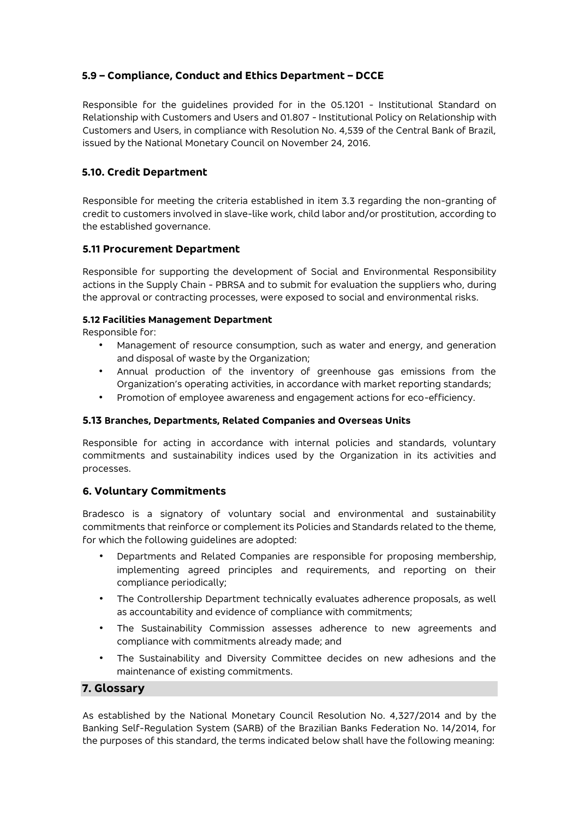## **5.9 – Compliance, Conduct and Ethics Department – DCCE**

Responsible for the guidelines provided for in the 05.1201 - Institutional Standard on Relationship with Customers and Users and 01.807 - Institutional Policy on Relationship with Customers and Users, in compliance with Resolution No. 4,539 of the Central Bank of Brazil, issued by the National Monetary Council on November 24, 2016.

#### **5.10. Credit Department**

Responsible for meeting the criteria established in item 3.3 regarding the non-granting of credit to customers involved in slave-like work, child labor and/or prostitution, according to the established governance.

#### **5.11 Procurement Department**

Responsible for supporting the development of Social and Environmental Responsibility actions in the Supply Chain - PBRSA and to submit for evaluation the suppliers who, during the approval or contracting processes, were exposed to social and environmental risks.

#### **5.12 Facilities Management Department**

Responsible for:

- Management of resource consumption, such as water and energy, and generation and disposal of waste by the Organization;
- Annual production of the inventory of greenhouse gas emissions from the Organization's operating activities, in accordance with market reporting standards;
- Promotion of employee awareness and engagement actions for eco-efficiency.

#### **5.13 Branches, Departments, Related Companies and Overseas Units**

Responsible for acting in accordance with internal policies and standards, voluntary commitments and sustainability indices used by the Organization in its activities and processes.

#### **6. Voluntary Commitments**

Bradesco is a signatory of voluntary social and environmental and sustainability commitments that reinforce or complement its Policies and Standards related to the theme, for which the following guidelines are adopted:

- Departments and Related Companies are responsible for proposing membership, implementing agreed principles and requirements, and reporting on their compliance periodically;
- The Controllership Department technically evaluates adherence proposals, as well as accountability and evidence of compliance with commitments;
- The Sustainability Commission assesses adherence to new agreements and compliance with commitments already made; and
- The Sustainability and Diversity Committee decides on new adhesions and the maintenance of existing commitments.

#### **7. Glossary**

As established by the National Monetary Council Resolution No. 4,327/2014 and by the Banking Self-Regulation System (SARB) of the Brazilian Banks Federation No. 14/2014, for the purposes of this standard, the terms indicated below shall have the following meaning: